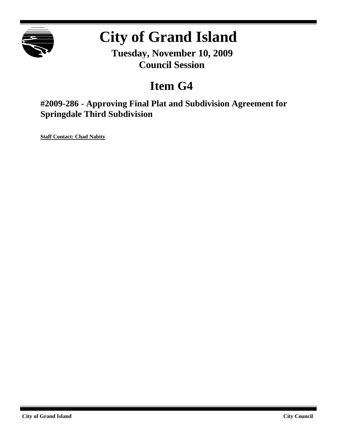

# **City of Grand Island**

**Tuesday, November 10, 2009 Council Session**

# **Item G4**

**#2009-286 - Approving Final Plat and Subdivision Agreement for Springdale Third Subdivision**

**Staff Contact: Chad Nabity**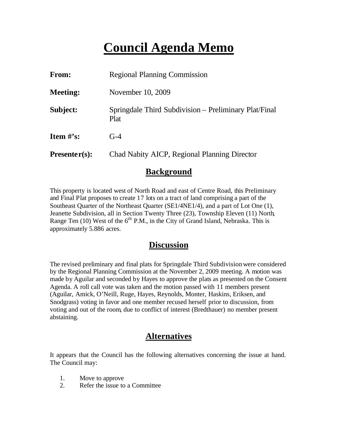# **Council Agenda Memo**

| From:           | <b>Regional Planning Commission</b>                           |  |  |
|-----------------|---------------------------------------------------------------|--|--|
| <b>Meeting:</b> | November 10, 2009                                             |  |  |
| Subject:        | Springdale Third Subdivision – Preliminary Plat/Final<br>Plat |  |  |
| Item $#$ 's:    | $G-4$                                                         |  |  |
| $Presenter(s):$ | Chad Nabity AICP, Regional Planning Director                  |  |  |

#### **Background**

This property is located west of North Road and east of Centre Road, this Preliminary and Final Plat proposes to create 17 lots on a tract of land comprising a part of the Southeast Quarter of the Northeast Quarter (SE1/4NE1/4), and a part of Lot One (1), Jeanette Subdivision, all in Section Twenty Three (23), Township Eleven (11) North, Range Ten  $(10)$  West of the  $6<sup>th</sup>$  P.M., in the City of Grand Island, Nebraska. This is approximately 5.886 acres.

#### **Discussion**

The revised preliminary and final plats for Springdale Third Subdivisionwere considered by the Regional Planning Commission at the November 2, 2009 meeting. A motion was made by Aguilar and seconded by Hayes to approve the plats as presented on the Consent Agenda. A roll call vote was taken and the motion passed with 11 members present (Aguilar, Amick, O'Neill, Ruge, Hayes, Reynolds, Monter, Haskins, Eriksen, and Snodgrass) voting in favor and one member recused herself prior to discussion, from voting and out of the room, due to conflict of interest (Bredthauer) no member present abstaining.

### **Alternatives**

It appears that the Council has the following alternatives concerning the issue at hand. The Council may:

- 1. Move to approve
- 2. Refer the issue to a Committee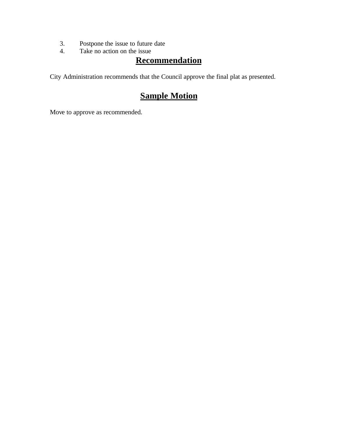- 3. Postpone the issue to future date<br>4. Take no action on the issue
- Take no action on the issue

#### **Recommendation**

City Administration recommends that the Council approve the final plat as presented.

### **Sample Motion**

Move to approve as recommended.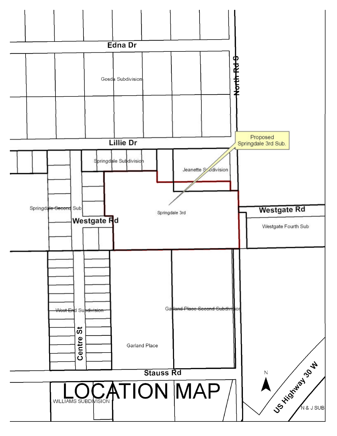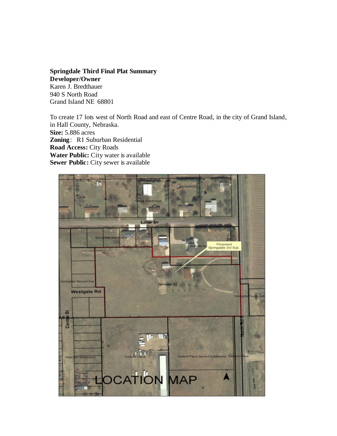#### **Springdale Third Final Plat Summary**

**Developer/Owner** Karen J. Bredthauer 940 S North Road Grand Island NE 68801

To create 17 lots west of North Road and east of Centre Road, in the city of Grand Island, in Hall County, Nebraska. **Size:** 5.886 acres **Zoning**: R1 Suburban Residential **Road Access:** City Roads **Water Public:** City water is available **Sewer Public:** City sewer is available